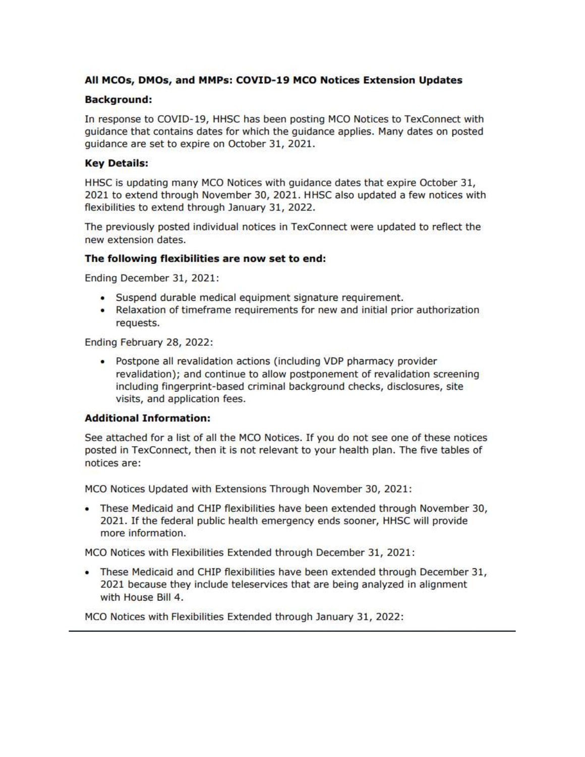### All MCOs, DMOs, and MMPs: COVID-19 MCO Notices Extension Updates

### **Background:**

In response to COVID-19, HHSC has been posting MCO Notices to TexConnect with guidance that contains dates for which the guidance applies. Many dates on posted quidance are set to expire on October 31, 2021.

### **Key Details:**

HHSC is updating many MCO Notices with guidance dates that expire October 31, 2021 to extend through November 30, 2021. HHSC also updated a few notices with flexibilities to extend through January 31, 2022.

The previously posted individual notices in TexConnect were updated to reflect the new extension dates.

#### The following flexibilities are now set to end:

Ending December 31, 2021:

- · Suspend durable medical equipment signature requirement.
- Relaxation of timeframe requirements for new and initial prior authorization requests.

Ending February 28, 2022:

• Postpone all revalidation actions (including VDP pharmacy provider revalidation); and continue to allow postponement of revalidation screening including fingerprint-based criminal background checks, disclosures, site visits, and application fees.

### **Additional Information:**

See attached for a list of all the MCO Notices. If you do not see one of these notices posted in TexConnect, then it is not relevant to your health plan. The five tables of notices are:

MCO Notices Updated with Extensions Through November 30, 2021:

• These Medicaid and CHIP flexibilities have been extended through November 30, 2021. If the federal public health emergency ends sooner, HHSC will provide more information.

MCO Notices with Flexibilities Extended through December 31, 2021:

• These Medicaid and CHIP flexibilities have been extended through December 31, 2021 because they include teleservices that are being analyzed in alignment with House Bill 4.

MCO Notices with Flexibilities Extended through January 31, 2022: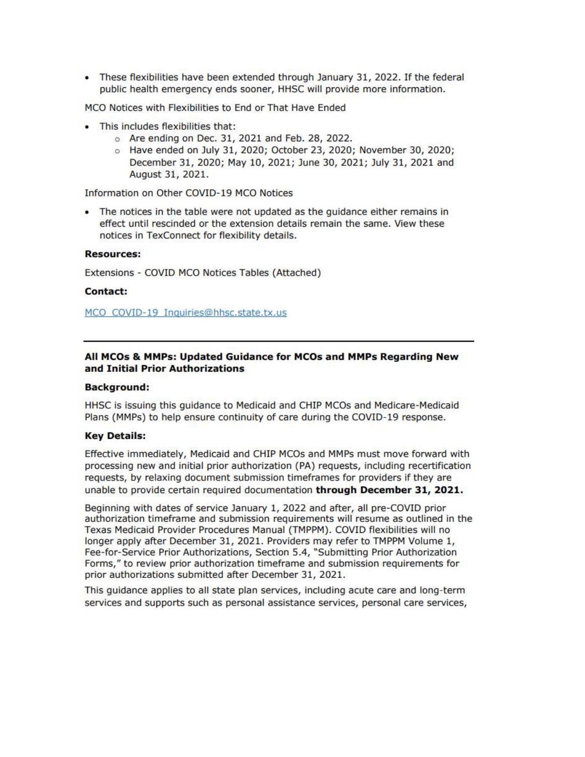• These flexibilities have been extended through January 31, 2022. If the federal public health emergency ends sooner, HHSC will provide more information.

MCO Notices with Flexibilities to End or That Have Ended

- This includes flexibilities that:
	- o Are ending on Dec. 31, 2021 and Feb. 28, 2022.
	- o Have ended on July 31, 2020; October 23, 2020; November 30, 2020; December 31, 2020; May 10, 2021; June 30, 2021; July 31, 2021 and August 31, 2021.

Information on Other COVID-19 MCO Notices

• The notices in the table were not updated as the quidance either remains in effect until rescinded or the extension details remain the same. View these notices in TexConnect for flexibility details.

#### **Resources:**

Extensions - COVID MCO Notices Tables (Attached)

#### **Contact:**

MCO COVID-19 Inquiries@hhsc.state.tx.us

#### All MCOs & MMPs: Updated Guidance for MCOs and MMPs Regarding New and Initial Prior Authorizations

#### **Background:**

HHSC is issuing this guidance to Medicaid and CHIP MCOs and Medicare-Medicaid Plans (MMPs) to help ensure continuity of care during the COVID-19 response.

#### **Key Details:**

Effective immediately, Medicaid and CHIP MCOs and MMPs must move forward with processing new and initial prior authorization (PA) requests, including recertification requests, by relaxing document submission timeframes for providers if they are unable to provide certain required documentation through December 31, 2021.

Beginning with dates of service January 1, 2022 and after, all pre-COVID prior authorization timeframe and submission requirements will resume as outlined in the Texas Medicaid Provider Procedures Manual (TMPPM). COVID flexibilities will no longer apply after December 31, 2021. Providers may refer to TMPPM Volume 1, Fee-for-Service Prior Authorizations, Section 5.4, "Submitting Prior Authorization Forms," to review prior authorization timeframe and submission requirements for prior authorizations submitted after December 31, 2021.

This guidance applies to all state plan services, including acute care and long-term services and supports such as personal assistance services, personal care services,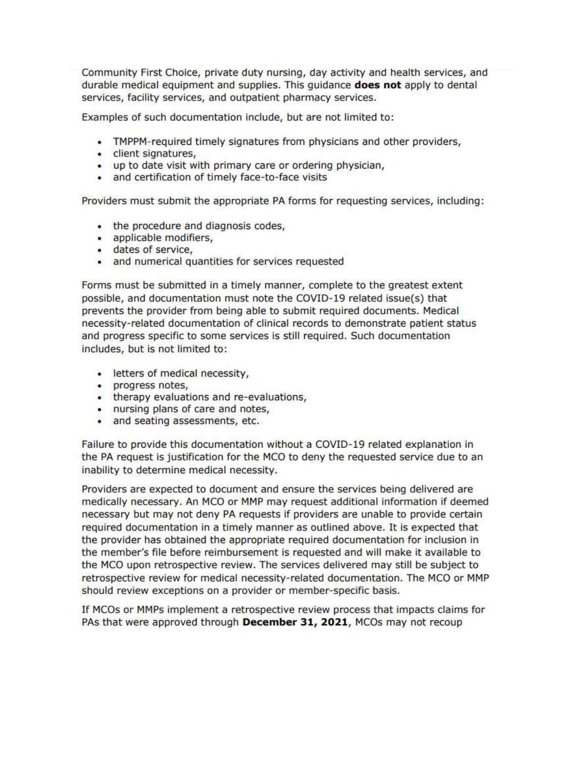Community First Choice, private duty nursing, day activity and health services, and durable medical equipment and supplies. This quidance **does not** apply to dental services, facility services, and outpatient pharmacy services.

Examples of such documentation include, but are not limited to:

- TMPPM-required timely signatures from physicians and other providers,
- · client signatures,
- up to date visit with primary care or ordering physician,
- and certification of timely face-to-face visits

Providers must submit the appropriate PA forms for requesting services, including:

- the procedure and diagnosis codes,
- · applicable modifiers,
- · dates of service,
- and numerical quantities for services requested

Forms must be submitted in a timely manner, complete to the greatest extent possible, and documentation must note the COVID-19 related issue(s) that prevents the provider from being able to submit required documents. Medical necessity-related documentation of clinical records to demonstrate patient status and progress specific to some services is still required. Such documentation includes, but is not limited to:

- · letters of medical necessity,
- · progress notes,
- therapy evaluations and re-evaluations,
- . nursing plans of care and notes,
- and seating assessments, etc.

Failure to provide this documentation without a COVID-19 related explanation in the PA request is justification for the MCO to deny the requested service due to an inability to determine medical necessity.

Providers are expected to document and ensure the services being delivered are medically necessary. An MCO or MMP may request additional information if deemed necessary but may not deny PA requests if providers are unable to provide certain required documentation in a timely manner as outlined above. It is expected that the provider has obtained the appropriate required documentation for inclusion in the member's file before reimbursement is requested and will make it available to the MCO upon retrospective review. The services delivered may still be subject to retrospective review for medical necessity-related documentation. The MCO or MMP should review exceptions on a provider or member-specific basis.

If MCOs or MMPs implement a retrospective review process that impacts claims for PAs that were approved through December 31, 2021, MCOs may not recoup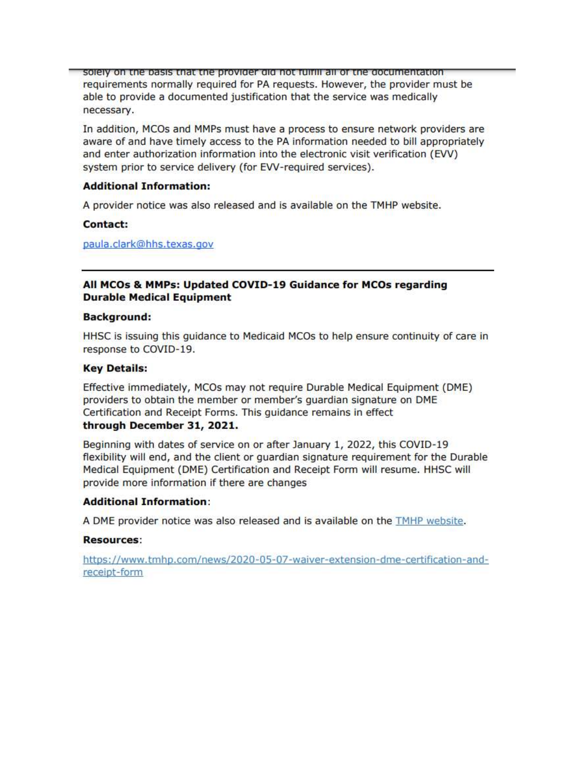solely on the basis that the provider did not fulfill all of the documentation requirements normally required for PA requests. However, the provider must be able to provide a documented justification that the service was medically necessary.

In addition, MCOs and MMPs must have a process to ensure network providers are aware of and have timely access to the PA information needed to bill appropriately and enter authorization information into the electronic visit verification (EVV) system prior to service delivery (for EVV-required services).

### **Additional Information:**

A provider notice was also released and is available on the TMHP website.

#### Contact:

paula.clark@hhs.texas.gov

### All MCOs & MMPs: Updated COVID-19 Guidance for MCOs regarding **Durable Medical Equipment**

#### **Background:**

HHSC is issuing this guidance to Medicaid MCOs to help ensure continuity of care in response to COVID-19.

#### **Key Details:**

Effective immediately, MCOs may not require Durable Medical Equipment (DME) providers to obtain the member or member's guardian signature on DME Certification and Receipt Forms. This guidance remains in effect

## through December 31, 2021.

Beginning with dates of service on or after January 1, 2022, this COVID-19 flexibility will end, and the client or guardian signature requirement for the Durable Medical Equipment (DME) Certification and Receipt Form will resume. HHSC will provide more information if there are changes

### **Additional Information:**

A DME provider notice was also released and is available on the TMHP website.

### **Resources:**

https://www.tmhp.com/news/2020-05-07-waiver-extension-dme-certification-andreceipt-form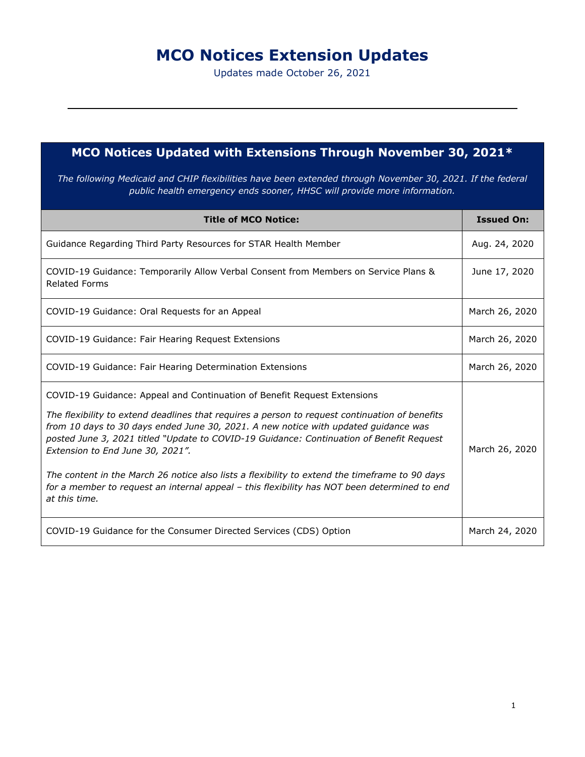# **MCO Notices Extension Updates**

Updates made October 26, 2021

## **MCO Notices Updated with Extensions Through November 30, 2021\***

*The following Medicaid and CHIP flexibilities have been extended through November 30, 2021. If the federal public health emergency ends sooner, HHSC will provide more information.*

| <b>Title of MCO Notice:</b>                                                                                                                                                                                                                                                                                                                                                                                                                                                                                                                                                                                          | <b>Issued On:</b> |
|----------------------------------------------------------------------------------------------------------------------------------------------------------------------------------------------------------------------------------------------------------------------------------------------------------------------------------------------------------------------------------------------------------------------------------------------------------------------------------------------------------------------------------------------------------------------------------------------------------------------|-------------------|
| Guidance Regarding Third Party Resources for STAR Health Member                                                                                                                                                                                                                                                                                                                                                                                                                                                                                                                                                      | Aug. 24, 2020     |
| COVID-19 Guidance: Temporarily Allow Verbal Consent from Members on Service Plans &<br><b>Related Forms</b>                                                                                                                                                                                                                                                                                                                                                                                                                                                                                                          | June 17, 2020     |
| COVID-19 Guidance: Oral Requests for an Appeal                                                                                                                                                                                                                                                                                                                                                                                                                                                                                                                                                                       | March 26, 2020    |
| COVID-19 Guidance: Fair Hearing Request Extensions                                                                                                                                                                                                                                                                                                                                                                                                                                                                                                                                                                   | March 26, 2020    |
| COVID-19 Guidance: Fair Hearing Determination Extensions                                                                                                                                                                                                                                                                                                                                                                                                                                                                                                                                                             | March 26, 2020    |
| COVID-19 Guidance: Appeal and Continuation of Benefit Request Extensions<br>The flexibility to extend deadlines that requires a person to request continuation of benefits<br>from 10 days to 30 days ended June 30, 2021. A new notice with updated guidance was<br>posted June 3, 2021 titled "Update to COVID-19 Guidance: Continuation of Benefit Request<br>Extension to End June 30, 2021".<br>The content in the March 26 notice also lists a flexibility to extend the timeframe to 90 days<br>for a member to request an internal appeal - this flexibility has NOT been determined to end<br>at this time. | March 26, 2020    |
| COVID-19 Guidance for the Consumer Directed Services (CDS) Option                                                                                                                                                                                                                                                                                                                                                                                                                                                                                                                                                    | March 24, 2020    |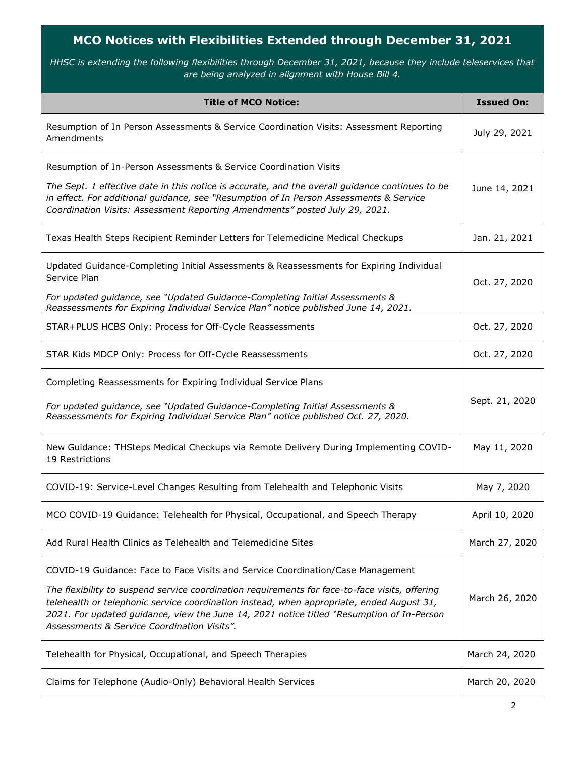## **MCO Notices with Flexibilities Extended through December 31, 2021**

*HHSC is extending the following flexibilities through December 31, 2021, because they include teleservices that are being analyzed in alignment with House Bill 4.*

| <b>Title of MCO Notice:</b>                                                                                                                                                                                                                                                                                                             | <b>Issued On:</b> |
|-----------------------------------------------------------------------------------------------------------------------------------------------------------------------------------------------------------------------------------------------------------------------------------------------------------------------------------------|-------------------|
| Resumption of In Person Assessments & Service Coordination Visits: Assessment Reporting<br>Amendments                                                                                                                                                                                                                                   | July 29, 2021     |
| Resumption of In-Person Assessments & Service Coordination Visits                                                                                                                                                                                                                                                                       |                   |
| The Sept. 1 effective date in this notice is accurate, and the overall guidance continues to be<br>in effect. For additional guidance, see "Resumption of In Person Assessments & Service<br>Coordination Visits: Assessment Reporting Amendments" posted July 29, 2021.                                                                | June 14, 2021     |
| Texas Health Steps Recipient Reminder Letters for Telemedicine Medical Checkups                                                                                                                                                                                                                                                         | Jan. 21, 2021     |
| Updated Guidance-Completing Initial Assessments & Reassessments for Expiring Individual<br>Service Plan                                                                                                                                                                                                                                 | Oct. 27, 2020     |
| For updated guidance, see "Updated Guidance-Completing Initial Assessments &<br>Reassessments for Expiring Individual Service Plan" notice published June 14, 2021.                                                                                                                                                                     |                   |
| STAR+PLUS HCBS Only: Process for Off-Cycle Reassessments                                                                                                                                                                                                                                                                                | Oct. 27, 2020     |
| STAR Kids MDCP Only: Process for Off-Cycle Reassessments                                                                                                                                                                                                                                                                                | Oct. 27, 2020     |
| Completing Reassessments for Expiring Individual Service Plans                                                                                                                                                                                                                                                                          |                   |
| For updated guidance, see "Updated Guidance-Completing Initial Assessments &<br>Reassessments for Expiring Individual Service Plan" notice published Oct. 27, 2020.                                                                                                                                                                     | Sept. 21, 2020    |
| New Guidance: THSteps Medical Checkups via Remote Delivery During Implementing COVID-<br>19 Restrictions                                                                                                                                                                                                                                | May 11, 2020      |
| COVID-19: Service-Level Changes Resulting from Telehealth and Telephonic Visits                                                                                                                                                                                                                                                         | May 7, 2020       |
| MCO COVID-19 Guidance: Telehealth for Physical, Occupational, and Speech Therapy                                                                                                                                                                                                                                                        | April 10, 2020    |
| Add Rural Health Clinics as Telehealth and Telemedicine Sites                                                                                                                                                                                                                                                                           | March 27, 2020    |
| COVID-19 Guidance: Face to Face Visits and Service Coordination/Case Management                                                                                                                                                                                                                                                         |                   |
| The flexibility to suspend service coordination requirements for face-to-face visits, offering<br>telehealth or telephonic service coordination instead, when appropriate, ended August 31,<br>2021. For updated guidance, view the June 14, 2021 notice titled "Resumption of In-Person<br>Assessments & Service Coordination Visits". | March 26, 2020    |
| Telehealth for Physical, Occupational, and Speech Therapies                                                                                                                                                                                                                                                                             | March 24, 2020    |
| Claims for Telephone (Audio-Only) Behavioral Health Services                                                                                                                                                                                                                                                                            | March 20, 2020    |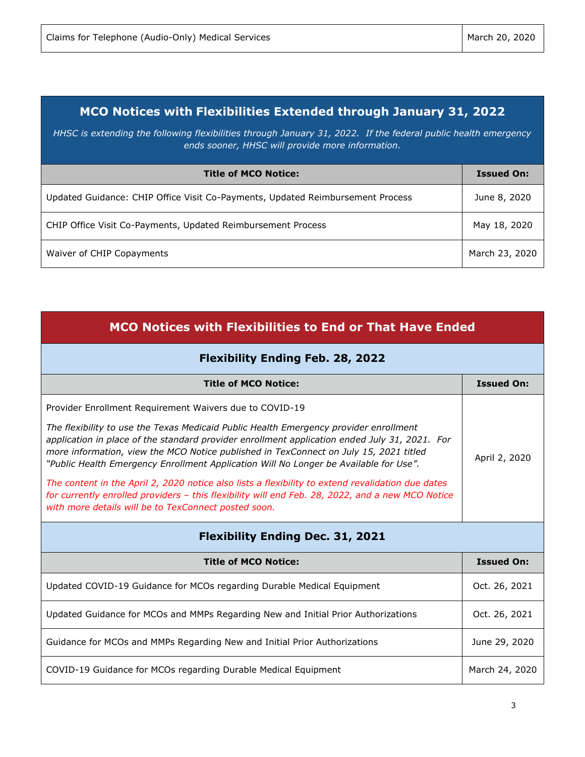## **MCO Notices with Flexibilities Extended through January 31, 2022**

*HHSC is extending the following flexibilities through January 31, 2022. If the federal public health emergency ends sooner, HHSC will provide more information.*

| <b>Title of MCO Notice:</b>                                                    | <b>Issued On:</b> |
|--------------------------------------------------------------------------------|-------------------|
| Updated Guidance: CHIP Office Visit Co-Payments, Updated Reimbursement Process | June 8, 2020      |
| CHIP Office Visit Co-Payments, Updated Reimbursement Process                   | May 18, 2020      |
| Waiver of CHIP Copayments                                                      | March 23, 2020    |

| <b>MCO Notices with Flexibilities to End or That Have Ended</b>                                                                                                                                                                                                                                                                                                          |                   |  |
|--------------------------------------------------------------------------------------------------------------------------------------------------------------------------------------------------------------------------------------------------------------------------------------------------------------------------------------------------------------------------|-------------------|--|
| <b>Flexibility Ending Feb. 28, 2022</b>                                                                                                                                                                                                                                                                                                                                  |                   |  |
| <b>Title of MCO Notice:</b>                                                                                                                                                                                                                                                                                                                                              | <b>Issued On:</b> |  |
| Provider Enrollment Requirement Waivers due to COVID-19                                                                                                                                                                                                                                                                                                                  |                   |  |
| The flexibility to use the Texas Medicaid Public Health Emergency provider enrollment<br>application in place of the standard provider enrollment application ended July 31, 2021. For<br>more information, view the MCO Notice published in TexConnect on July 15, 2021 titled<br>"Public Health Emergency Enrollment Application Will No Longer be Available for Use". | April 2, 2020     |  |
| The content in the April 2, 2020 notice also lists a flexibility to extend revalidation due dates<br>for currently enrolled providers - this flexibility will end Feb. 28, 2022, and a new MCO Notice<br>with more details will be to TexConnect posted soon.                                                                                                            |                   |  |
| <b>Flexibility Ending Dec. 31, 2021</b>                                                                                                                                                                                                                                                                                                                                  |                   |  |
| <b>Title of MCO Notice:</b>                                                                                                                                                                                                                                                                                                                                              | <b>Issued On:</b> |  |
| Updated COVID-19 Guidance for MCOs regarding Durable Medical Equipment                                                                                                                                                                                                                                                                                                   | Oct. 26, 2021     |  |
| Updated Guidance for MCOs and MMPs Regarding New and Initial Prior Authorizations                                                                                                                                                                                                                                                                                        | Oct. 26, 2021     |  |
| Guidance for MCOs and MMPs Regarding New and Initial Prior Authorizations                                                                                                                                                                                                                                                                                                | June 29, 2020     |  |
| COVID-19 Guidance for MCOs regarding Durable Medical Equipment                                                                                                                                                                                                                                                                                                           | March 24, 2020    |  |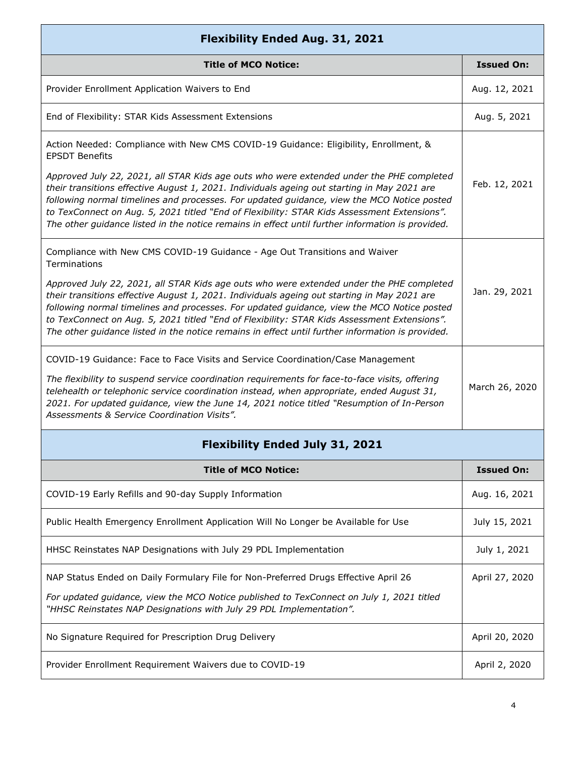| <b>Flexibility Ended Aug. 31, 2021</b>                                                                                                                                                                                                                                                                                                                                                                                                                                                   |                   |
|------------------------------------------------------------------------------------------------------------------------------------------------------------------------------------------------------------------------------------------------------------------------------------------------------------------------------------------------------------------------------------------------------------------------------------------------------------------------------------------|-------------------|
| <b>Title of MCO Notice:</b>                                                                                                                                                                                                                                                                                                                                                                                                                                                              | <b>Issued On:</b> |
| Provider Enrollment Application Waivers to End                                                                                                                                                                                                                                                                                                                                                                                                                                           | Aug. 12, 2021     |
| End of Flexibility: STAR Kids Assessment Extensions                                                                                                                                                                                                                                                                                                                                                                                                                                      | Aug. 5, 2021      |
| Action Needed: Compliance with New CMS COVID-19 Guidance: Eligibility, Enrollment, &<br><b>EPSDT Benefits</b>                                                                                                                                                                                                                                                                                                                                                                            |                   |
| Approved July 22, 2021, all STAR Kids age outs who were extended under the PHE completed<br>their transitions effective August 1, 2021. Individuals ageing out starting in May 2021 are<br>following normal timelines and processes. For updated guidance, view the MCO Notice posted<br>to TexConnect on Aug. 5, 2021 titled "End of Flexibility: STAR Kids Assessment Extensions".<br>The other guidance listed in the notice remains in effect until further information is provided. | Feb. 12, 2021     |
| Compliance with New CMS COVID-19 Guidance - Age Out Transitions and Waiver<br>Terminations                                                                                                                                                                                                                                                                                                                                                                                               |                   |
| Approved July 22, 2021, all STAR Kids age outs who were extended under the PHE completed<br>their transitions effective August 1, 2021. Individuals ageing out starting in May 2021 are<br>following normal timelines and processes. For updated guidance, view the MCO Notice posted<br>to TexConnect on Aug. 5, 2021 titled "End of Flexibility: STAR Kids Assessment Extensions".<br>The other guidance listed in the notice remains in effect until further information is provided. | Jan. 29, 2021     |
| COVID-19 Guidance: Face to Face Visits and Service Coordination/Case Management                                                                                                                                                                                                                                                                                                                                                                                                          |                   |
| The flexibility to suspend service coordination requirements for face-to-face visits, offering<br>telehealth or telephonic service coordination instead, when appropriate, ended August 31,<br>2021. For updated guidance, view the June 14, 2021 notice titled "Resumption of In-Person<br>Assessments & Service Coordination Visits".                                                                                                                                                  | March 26, 2020    |
| <b>Flexibility Ended July 31, 2021</b>                                                                                                                                                                                                                                                                                                                                                                                                                                                   |                   |
| <b>Title of MCO Notice:</b>                                                                                                                                                                                                                                                                                                                                                                                                                                                              | <b>Issued On:</b> |
| COVID-19 Early Refills and 90-day Supply Information                                                                                                                                                                                                                                                                                                                                                                                                                                     | Aug. 16, 2021     |
| Public Health Emergency Enrollment Application Will No Longer be Available for Use                                                                                                                                                                                                                                                                                                                                                                                                       | July 15, 2021     |
| HHSC Reinstates NAP Designations with July 29 PDL Implementation                                                                                                                                                                                                                                                                                                                                                                                                                         | July 1, 2021      |
| NAP Status Ended on Daily Formulary File for Non-Preferred Drugs Effective April 26                                                                                                                                                                                                                                                                                                                                                                                                      | April 27, 2020    |
| For updated guidance, view the MCO Notice published to TexConnect on July 1, 2021 titled<br>"HHSC Reinstates NAP Designations with July 29 PDL Implementation".                                                                                                                                                                                                                                                                                                                          |                   |
| No Signature Required for Prescription Drug Delivery                                                                                                                                                                                                                                                                                                                                                                                                                                     | April 20, 2020    |
| Provider Enrollment Requirement Waivers due to COVID-19                                                                                                                                                                                                                                                                                                                                                                                                                                  | April 2, 2020     |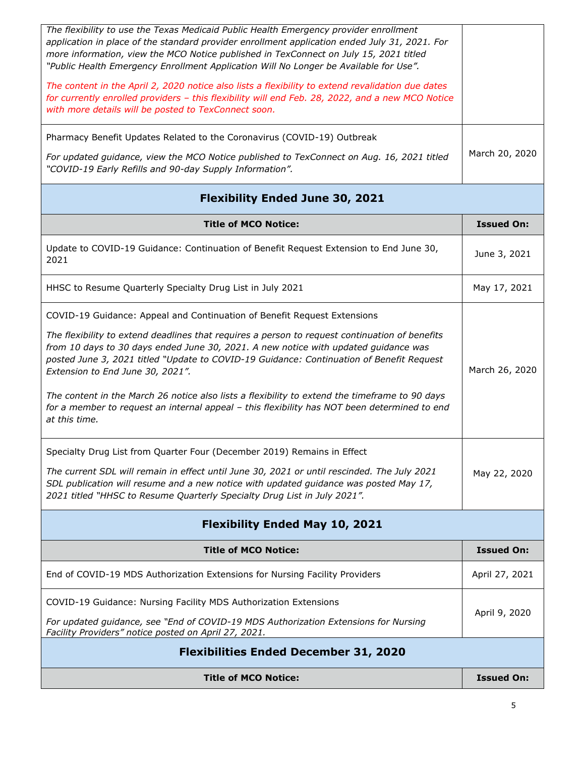| The flexibility to use the Texas Medicaid Public Health Emergency provider enrollment<br>application in place of the standard provider enrollment application ended July 31, 2021. For<br>more information, view the MCO Notice published in TexConnect on July 15, 2021 titled<br>"Public Health Emergency Enrollment Application Will No Longer be Available for Use".<br>The content in the April 2, 2020 notice also lists a flexibility to extend revalidation due dates<br>for currently enrolled providers - this flexibility will end Feb. 28, 2022, and a new MCO Notice<br>with more details will be posted to TexConnect soon.<br>Pharmacy Benefit Updates Related to the Coronavirus (COVID-19) Outbreak<br>For updated guidance, view the MCO Notice published to TexConnect on Aug. 16, 2021 titled<br>"COVID-19 Early Refills and 90-day Supply Information".                                                                                        | March 20, 2020                 |
|---------------------------------------------------------------------------------------------------------------------------------------------------------------------------------------------------------------------------------------------------------------------------------------------------------------------------------------------------------------------------------------------------------------------------------------------------------------------------------------------------------------------------------------------------------------------------------------------------------------------------------------------------------------------------------------------------------------------------------------------------------------------------------------------------------------------------------------------------------------------------------------------------------------------------------------------------------------------|--------------------------------|
| <b>Flexibility Ended June 30, 2021</b>                                                                                                                                                                                                                                                                                                                                                                                                                                                                                                                                                                                                                                                                                                                                                                                                                                                                                                                              |                                |
| <b>Title of MCO Notice:</b>                                                                                                                                                                                                                                                                                                                                                                                                                                                                                                                                                                                                                                                                                                                                                                                                                                                                                                                                         | <b>Issued On:</b>              |
| Update to COVID-19 Guidance: Continuation of Benefit Request Extension to End June 30,<br>2021                                                                                                                                                                                                                                                                                                                                                                                                                                                                                                                                                                                                                                                                                                                                                                                                                                                                      | June 3, 2021                   |
| HHSC to Resume Quarterly Specialty Drug List in July 2021                                                                                                                                                                                                                                                                                                                                                                                                                                                                                                                                                                                                                                                                                                                                                                                                                                                                                                           | May 17, 2021                   |
| COVID-19 Guidance: Appeal and Continuation of Benefit Request Extensions<br>The flexibility to extend deadlines that requires a person to request continuation of benefits<br>from 10 days to 30 days ended June 30, 2021. A new notice with updated guidance was<br>posted June 3, 2021 titled "Update to COVID-19 Guidance: Continuation of Benefit Request<br>Extension to End June 30, 2021".<br>The content in the March 26 notice also lists a flexibility to extend the timeframe to 90 days<br>for a member to request an internal appeal - this flexibility has NOT been determined to end<br>at this time.<br>Specialty Drug List from Quarter Four (December 2019) Remains in Effect<br>The current SDL will remain in effect until June 30, 2021 or until rescinded. The July 2021<br>SDL publication will resume and a new notice with updated guidance was posted May 17,<br>2021 titled "HHSC to Resume Quarterly Specialty Drug List in July 2021". | March 26, 2020<br>May 22, 2020 |
| <b>Flexibility Ended May 10, 2021</b>                                                                                                                                                                                                                                                                                                                                                                                                                                                                                                                                                                                                                                                                                                                                                                                                                                                                                                                               |                                |
| <b>Title of MCO Notice:</b>                                                                                                                                                                                                                                                                                                                                                                                                                                                                                                                                                                                                                                                                                                                                                                                                                                                                                                                                         | <b>Issued On:</b>              |
| End of COVID-19 MDS Authorization Extensions for Nursing Facility Providers                                                                                                                                                                                                                                                                                                                                                                                                                                                                                                                                                                                                                                                                                                                                                                                                                                                                                         | April 27, 2021                 |
| COVID-19 Guidance: Nursing Facility MDS Authorization Extensions                                                                                                                                                                                                                                                                                                                                                                                                                                                                                                                                                                                                                                                                                                                                                                                                                                                                                                    | April 9, 2020                  |
| For updated guidance, see "End of COVID-19 MDS Authorization Extensions for Nursing<br>Facility Providers" notice posted on April 27, 2021.                                                                                                                                                                                                                                                                                                                                                                                                                                                                                                                                                                                                                                                                                                                                                                                                                         |                                |
| <b>Flexibilities Ended December 31, 2020</b>                                                                                                                                                                                                                                                                                                                                                                                                                                                                                                                                                                                                                                                                                                                                                                                                                                                                                                                        |                                |
| <b>Title of MCO Notice:</b>                                                                                                                                                                                                                                                                                                                                                                                                                                                                                                                                                                                                                                                                                                                                                                                                                                                                                                                                         | <b>Issued On:</b>              |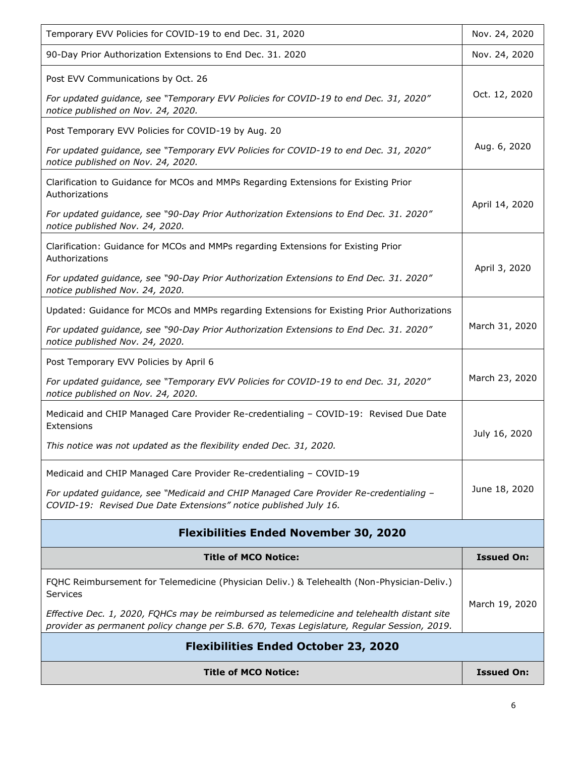| <b>Title of MCO Notice:</b>                                                                                                                                                                | <b>Issued On:</b> |  |
|--------------------------------------------------------------------------------------------------------------------------------------------------------------------------------------------|-------------------|--|
| <b>Flexibilities Ended October 23, 2020</b>                                                                                                                                                |                   |  |
| Effective Dec. 1, 2020, FQHCs may be reimbursed as telemedicine and telehealth distant site<br>provider as permanent policy change per S.B. 670, Texas Legislature, Regular Session, 2019. |                   |  |
| FQHC Reimbursement for Telemedicine (Physician Deliv.) & Telehealth (Non-Physician-Deliv.)<br>Services                                                                                     | March 19, 2020    |  |
| <b>Title of MCO Notice:</b>                                                                                                                                                                | <b>Issued On:</b> |  |
| <b>Flexibilities Ended November 30, 2020</b>                                                                                                                                               |                   |  |
| For updated guidance, see "Medicaid and CHIP Managed Care Provider Re-credentialing -<br>COVID-19: Revised Due Date Extensions" notice published July 16.                                  | June 18, 2020     |  |
| Medicaid and CHIP Managed Care Provider Re-credentialing - COVID-19                                                                                                                        |                   |  |
| This notice was not updated as the flexibility ended Dec. 31, 2020.                                                                                                                        | July 16, 2020     |  |
| Medicaid and CHIP Managed Care Provider Re-credentialing - COVID-19: Revised Due Date<br>Extensions                                                                                        |                   |  |
| Post Temporary EVV Policies by April 6<br>For updated guidance, see "Temporary EVV Policies for COVID-19 to end Dec. 31, 2020"<br>notice published on Nov. 24, 2020.                       | March 23, 2020    |  |
| notice published Nov. 24, 2020.                                                                                                                                                            |                   |  |
| For updated guidance, see "90-Day Prior Authorization Extensions to End Dec. 31. 2020"                                                                                                     | March 31, 2020    |  |
| notice published Nov. 24, 2020.<br>Updated: Guidance for MCOs and MMPs regarding Extensions for Existing Prior Authorizations                                                              |                   |  |
| Authorizations<br>For updated guidance, see "90-Day Prior Authorization Extensions to End Dec. 31. 2020"                                                                                   | April 3, 2020     |  |
| notice published Nov. 24, 2020.<br>Clarification: Guidance for MCOs and MMPs regarding Extensions for Existing Prior                                                                       |                   |  |
| Authorizations<br>For updated guidance, see "90-Day Prior Authorization Extensions to End Dec. 31. 2020"                                                                                   | April 14, 2020    |  |
| Clarification to Guidance for MCOs and MMPs Regarding Extensions for Existing Prior                                                                                                        |                   |  |
| For updated guidance, see "Temporary EVV Policies for COVID-19 to end Dec. 31, 2020"<br>notice published on Nov. 24, 2020.                                                                 | Aug. 6, 2020      |  |
| Post Temporary EVV Policies for COVID-19 by Aug. 20                                                                                                                                        |                   |  |
| For updated guidance, see "Temporary EVV Policies for COVID-19 to end Dec. 31, 2020"<br>notice published on Nov. 24, 2020.                                                                 | Oct. 12, 2020     |  |
| Post EVV Communications by Oct. 26                                                                                                                                                         |                   |  |
| 90-Day Prior Authorization Extensions to End Dec. 31. 2020                                                                                                                                 | Nov. 24, 2020     |  |
| Temporary EVV Policies for COVID-19 to end Dec. 31, 2020                                                                                                                                   | Nov. 24, 2020     |  |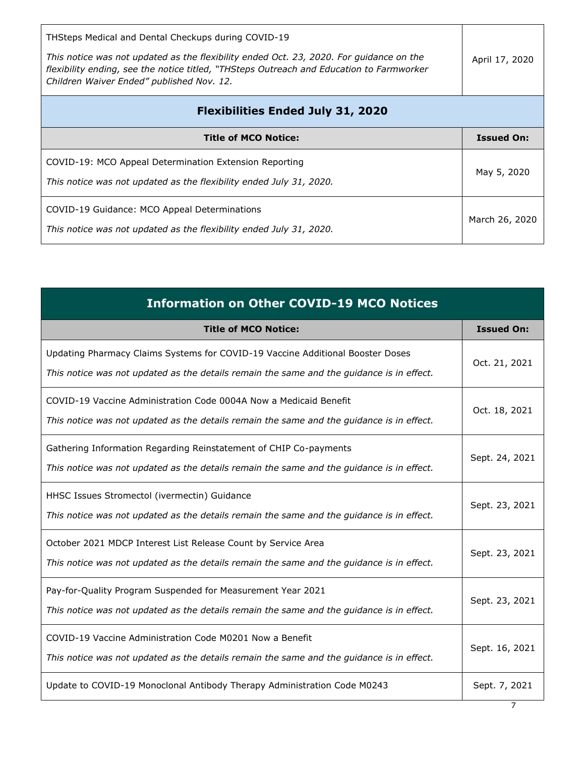| THSteps Medical and Dental Checkups during COVID-19<br>This notice was not updated as the flexibility ended Oct. 23, 2020. For quidance on the<br>flexibility ending, see the notice titled, "THSteps Outreach and Education to Farmworker<br>Children Waiver Ended" published Nov. 12. | April 17, 2020    |
|-----------------------------------------------------------------------------------------------------------------------------------------------------------------------------------------------------------------------------------------------------------------------------------------|-------------------|
| <b>Flexibilities Ended July 31, 2020</b>                                                                                                                                                                                                                                                |                   |
| <b>Title of MCO Notice:</b>                                                                                                                                                                                                                                                             | <b>Issued On:</b> |
| COVID-19: MCO Appeal Determination Extension Reporting<br>This notice was not updated as the flexibility ended July 31, 2020.                                                                                                                                                           | May 5, 2020       |
| COVID-19 Guidance: MCO Appeal Determinations<br>This notice was not updated as the flexibility ended July 31, 2020.                                                                                                                                                                     | March 26, 2020    |

| <b>Information on Other COVID-19 MCO Notices</b>                                                                                                                            |                   |
|-----------------------------------------------------------------------------------------------------------------------------------------------------------------------------|-------------------|
| <b>Title of MCO Notice:</b>                                                                                                                                                 | <b>Issued On:</b> |
| Updating Pharmacy Claims Systems for COVID-19 Vaccine Additional Booster Doses<br>This notice was not updated as the details remain the same and the guidance is in effect. | Oct. 21, 2021     |
| COVID-19 Vaccine Administration Code 0004A Now a Medicaid Benefit<br>This notice was not updated as the details remain the same and the guidance is in effect.              | Oct. 18, 2021     |
| Gathering Information Regarding Reinstatement of CHIP Co-payments<br>This notice was not updated as the details remain the same and the guidance is in effect.              | Sept. 24, 2021    |
| HHSC Issues Stromectol (ivermectin) Guidance<br>This notice was not updated as the details remain the same and the guidance is in effect.                                   | Sept. 23, 2021    |
| October 2021 MDCP Interest List Release Count by Service Area<br>This notice was not updated as the details remain the same and the guidance is in effect.                  | Sept. 23, 2021    |
| Pay-for-Quality Program Suspended for Measurement Year 2021<br>This notice was not updated as the details remain the same and the guidance is in effect.                    | Sept. 23, 2021    |
| COVID-19 Vaccine Administration Code M0201 Now a Benefit<br>This notice was not updated as the details remain the same and the guidance is in effect.                       | Sept. 16, 2021    |
| Update to COVID-19 Monoclonal Antibody Therapy Administration Code M0243                                                                                                    | Sept. 7, 2021     |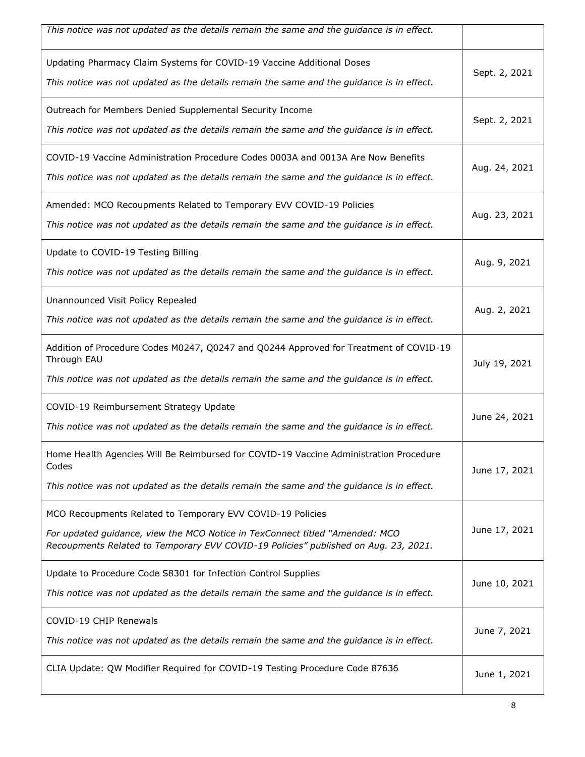| This notice was not updated as the details remain the same and the guidance is in effect.                                                                                                                                         |               |
|-----------------------------------------------------------------------------------------------------------------------------------------------------------------------------------------------------------------------------------|---------------|
| Updating Pharmacy Claim Systems for COVID-19 Vaccine Additional Doses<br>This notice was not updated as the details remain the same and the guidance is in effect.                                                                | Sept. 2, 2021 |
| Outreach for Members Denied Supplemental Security Income<br>This notice was not updated as the details remain the same and the guidance is in effect.                                                                             | Sept. 2, 2021 |
| COVID-19 Vaccine Administration Procedure Codes 0003A and 0013A Are Now Benefits<br>This notice was not updated as the details remain the same and the guidance is in effect.                                                     | Aug. 24, 2021 |
| Amended: MCO Recoupments Related to Temporary EVV COVID-19 Policies<br>This notice was not updated as the details remain the same and the guidance is in effect.                                                                  | Aug. 23, 2021 |
| Update to COVID-19 Testing Billing<br>This notice was not updated as the details remain the same and the guidance is in effect.                                                                                                   | Aug. 9, 2021  |
| Unannounced Visit Policy Repealed<br>This notice was not updated as the details remain the same and the guidance is in effect.                                                                                                    | Aug. 2, 2021  |
| Addition of Procedure Codes M0247, Q0247 and Q0244 Approved for Treatment of COVID-19<br>Through EAU<br>This notice was not updated as the details remain the same and the guidance is in effect.                                 | July 19, 2021 |
| COVID-19 Reimbursement Strategy Update<br>This notice was not updated as the details remain the same and the guidance is in effect.                                                                                               | June 24, 2021 |
| Home Health Agencies Will Be Reimbursed for COVID-19 Vaccine Administration Procedure<br>Codes<br>This notice was not updated as the details remain the same and the guidance is in effect.                                       | June 17, 2021 |
| MCO Recoupments Related to Temporary EVV COVID-19 Policies<br>For updated guidance, view the MCO Notice in TexConnect titled "Amended: MCO<br>Recoupments Related to Temporary EVV COVID-19 Policies" published on Aug. 23, 2021. | June 17, 2021 |
| Update to Procedure Code S8301 for Infection Control Supplies<br>This notice was not updated as the details remain the same and the guidance is in effect.                                                                        | June 10, 2021 |
| COVID-19 CHIP Renewals<br>This notice was not updated as the details remain the same and the guidance is in effect.                                                                                                               | June 7, 2021  |
| CLIA Update: QW Modifier Required for COVID-19 Testing Procedure Code 87636                                                                                                                                                       | June 1, 2021  |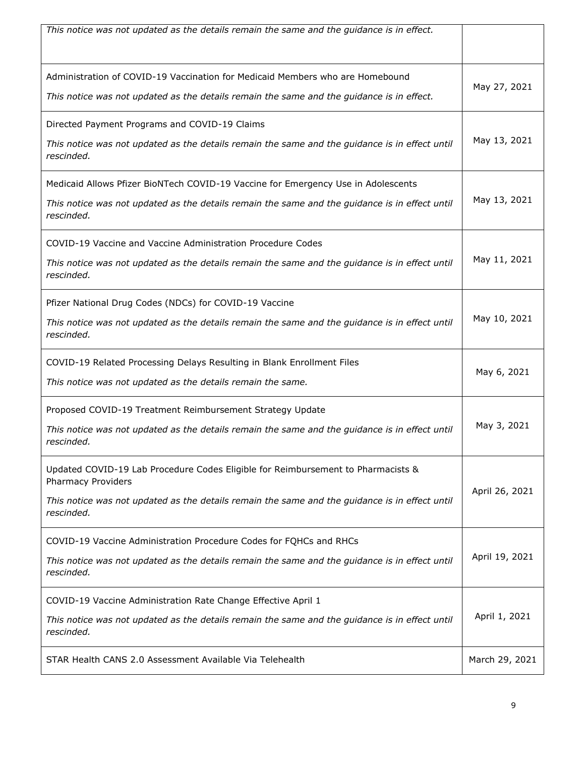| This notice was not updated as the details remain the same and the guidance is in effect.                                                                                                                                     |                |
|-------------------------------------------------------------------------------------------------------------------------------------------------------------------------------------------------------------------------------|----------------|
| Administration of COVID-19 Vaccination for Medicaid Members who are Homebound<br>This notice was not updated as the details remain the same and the guidance is in effect.                                                    | May 27, 2021   |
| Directed Payment Programs and COVID-19 Claims<br>This notice was not updated as the details remain the same and the guidance is in effect until<br>rescinded.                                                                 | May 13, 2021   |
| Medicaid Allows Pfizer BioNTech COVID-19 Vaccine for Emergency Use in Adolescents<br>This notice was not updated as the details remain the same and the guidance is in effect until<br>rescinded.                             | May 13, 2021   |
| COVID-19 Vaccine and Vaccine Administration Procedure Codes<br>This notice was not updated as the details remain the same and the guidance is in effect until<br>rescinded.                                                   | May 11, 2021   |
| Pfizer National Drug Codes (NDCs) for COVID-19 Vaccine<br>This notice was not updated as the details remain the same and the guidance is in effect until<br>rescinded.                                                        | May 10, 2021   |
| COVID-19 Related Processing Delays Resulting in Blank Enrollment Files<br>This notice was not updated as the details remain the same.                                                                                         | May 6, 2021    |
| Proposed COVID-19 Treatment Reimbursement Strategy Update<br>This notice was not updated as the details remain the same and the guidance is in effect until<br>rescinded.                                                     | May 3, 2021    |
| Updated COVID-19 Lab Procedure Codes Eligible for Reimbursement to Pharmacists &<br><b>Pharmacy Providers</b><br>This notice was not updated as the details remain the same and the guidance is in effect until<br>rescinded. | April 26, 2021 |
| COVID-19 Vaccine Administration Procedure Codes for FQHCs and RHCs<br>This notice was not updated as the details remain the same and the guidance is in effect until<br>rescinded.                                            | April 19, 2021 |
| COVID-19 Vaccine Administration Rate Change Effective April 1<br>This notice was not updated as the details remain the same and the guidance is in effect until<br>rescinded.                                                 | April 1, 2021  |
| STAR Health CANS 2.0 Assessment Available Via Telehealth                                                                                                                                                                      | March 29, 2021 |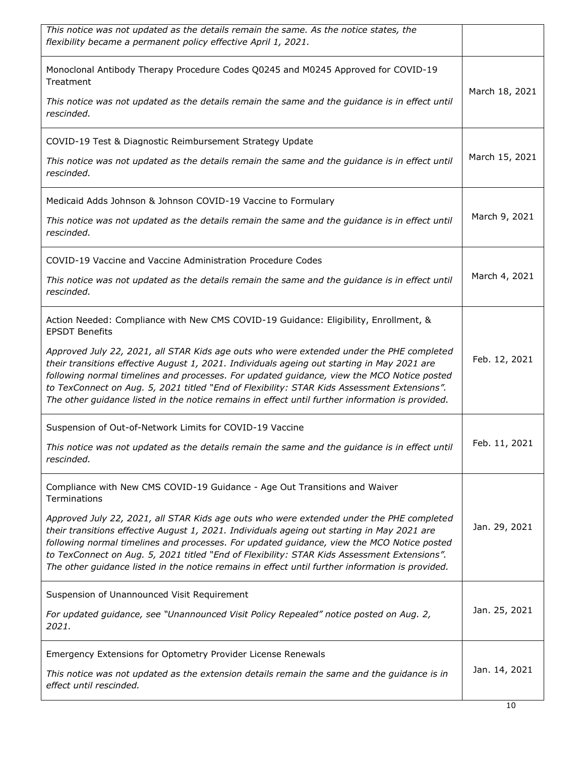| This notice was not updated as the details remain the same. As the notice states, the<br>flexibility became a permanent policy effective April 1, 2021.                                                                                                                                                                                                                                                                                                                                  |                |
|------------------------------------------------------------------------------------------------------------------------------------------------------------------------------------------------------------------------------------------------------------------------------------------------------------------------------------------------------------------------------------------------------------------------------------------------------------------------------------------|----------------|
| Monoclonal Antibody Therapy Procedure Codes Q0245 and M0245 Approved for COVID-19<br>Treatment                                                                                                                                                                                                                                                                                                                                                                                           | March 18, 2021 |
| This notice was not updated as the details remain the same and the guidance is in effect until<br>rescinded.                                                                                                                                                                                                                                                                                                                                                                             |                |
| COVID-19 Test & Diagnostic Reimbursement Strategy Update                                                                                                                                                                                                                                                                                                                                                                                                                                 |                |
| This notice was not updated as the details remain the same and the guidance is in effect until<br>rescinded.                                                                                                                                                                                                                                                                                                                                                                             | March 15, 2021 |
| Medicaid Adds Johnson & Johnson COVID-19 Vaccine to Formulary                                                                                                                                                                                                                                                                                                                                                                                                                            |                |
| This notice was not updated as the details remain the same and the guidance is in effect until<br>rescinded.                                                                                                                                                                                                                                                                                                                                                                             | March 9, 2021  |
| COVID-19 Vaccine and Vaccine Administration Procedure Codes                                                                                                                                                                                                                                                                                                                                                                                                                              |                |
| This notice was not updated as the details remain the same and the guidance is in effect until<br>rescinded.                                                                                                                                                                                                                                                                                                                                                                             | March 4, 2021  |
| Action Needed: Compliance with New CMS COVID-19 Guidance: Eligibility, Enrollment, &<br><b>EPSDT Benefits</b>                                                                                                                                                                                                                                                                                                                                                                            |                |
| Approved July 22, 2021, all STAR Kids age outs who were extended under the PHE completed<br>their transitions effective August 1, 2021. Individuals ageing out starting in May 2021 are<br>following normal timelines and processes. For updated guidance, view the MCO Notice posted<br>to TexConnect on Aug. 5, 2021 titled "End of Flexibility: STAR Kids Assessment Extensions".<br>The other guidance listed in the notice remains in effect until further information is provided. | Feb. 12, 2021  |
| Suspension of Out-of-Network Limits for COVID-19 Vaccine                                                                                                                                                                                                                                                                                                                                                                                                                                 |                |
| This notice was not updated as the details remain the same and the guidance is in effect until<br>rescinded.                                                                                                                                                                                                                                                                                                                                                                             | Feb. 11, 2021  |
| Compliance with New CMS COVID-19 Guidance - Age Out Transitions and Waiver<br><b>Terminations</b>                                                                                                                                                                                                                                                                                                                                                                                        |                |
| Approved July 22, 2021, all STAR Kids age outs who were extended under the PHE completed<br>their transitions effective August 1, 2021. Individuals ageing out starting in May 2021 are<br>following normal timelines and processes. For updated guidance, view the MCO Notice posted<br>to TexConnect on Aug. 5, 2021 titled "End of Flexibility: STAR Kids Assessment Extensions".<br>The other guidance listed in the notice remains in effect until further information is provided. | Jan. 29, 2021  |
| Suspension of Unannounced Visit Requirement                                                                                                                                                                                                                                                                                                                                                                                                                                              |                |
| For updated guidance, see "Unannounced Visit Policy Repealed" notice posted on Aug. 2,<br>2021.                                                                                                                                                                                                                                                                                                                                                                                          | Jan. 25, 2021  |
| Emergency Extensions for Optometry Provider License Renewals                                                                                                                                                                                                                                                                                                                                                                                                                             |                |
| This notice was not updated as the extension details remain the same and the guidance is in<br>effect until rescinded.                                                                                                                                                                                                                                                                                                                                                                   | Jan. 14, 2021  |
|                                                                                                                                                                                                                                                                                                                                                                                                                                                                                          |                |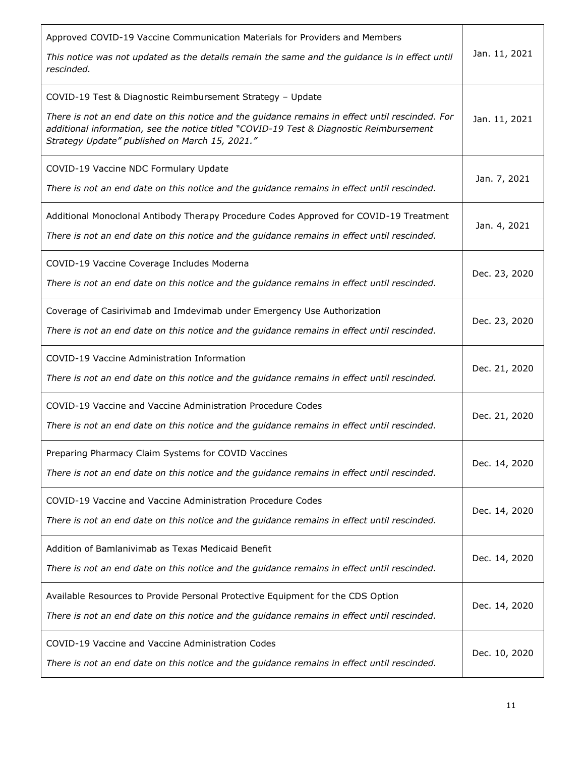| Approved COVID-19 Vaccine Communication Materials for Providers and Members<br>This notice was not updated as the details remain the same and the guidance is in effect until                                                                | Jan. 11, 2021 |
|----------------------------------------------------------------------------------------------------------------------------------------------------------------------------------------------------------------------------------------------|---------------|
| rescinded.                                                                                                                                                                                                                                   |               |
| COVID-19 Test & Diagnostic Reimbursement Strategy - Update                                                                                                                                                                                   |               |
| There is not an end date on this notice and the guidance remains in effect until rescinded. For<br>additional information, see the notice titled "COVID-19 Test & Diagnostic Reimbursement<br>Strategy Update" published on March 15, 2021." | Jan. 11, 2021 |
| COVID-19 Vaccine NDC Formulary Update                                                                                                                                                                                                        |               |
| There is not an end date on this notice and the guidance remains in effect until rescinded.                                                                                                                                                  | Jan. 7, 2021  |
| Additional Monoclonal Antibody Therapy Procedure Codes Approved for COVID-19 Treatment                                                                                                                                                       | Jan. 4, 2021  |
| There is not an end date on this notice and the guidance remains in effect until rescinded.                                                                                                                                                  |               |
| COVID-19 Vaccine Coverage Includes Moderna                                                                                                                                                                                                   |               |
| There is not an end date on this notice and the guidance remains in effect until rescinded.                                                                                                                                                  | Dec. 23, 2020 |
| Coverage of Casirivimab and Imdevimab under Emergency Use Authorization                                                                                                                                                                      | Dec. 23, 2020 |
| There is not an end date on this notice and the guidance remains in effect until rescinded.                                                                                                                                                  |               |
| COVID-19 Vaccine Administration Information                                                                                                                                                                                                  | Dec. 21, 2020 |
| There is not an end date on this notice and the guidance remains in effect until rescinded.                                                                                                                                                  |               |
| COVID-19 Vaccine and Vaccine Administration Procedure Codes                                                                                                                                                                                  | Dec. 21, 2020 |
| There is not an end date on this notice and the guidance remains in effect until rescinded.                                                                                                                                                  |               |
| Preparing Pharmacy Claim Systems for COVID Vaccines                                                                                                                                                                                          | Dec. 14, 2020 |
| There is not an end date on this notice and the guidance remains in effect until rescinded.                                                                                                                                                  |               |
| COVID-19 Vaccine and Vaccine Administration Procedure Codes                                                                                                                                                                                  |               |
| There is not an end date on this notice and the guidance remains in effect until rescinded.                                                                                                                                                  | Dec. 14, 2020 |
| Addition of Bamlanivimab as Texas Medicaid Benefit                                                                                                                                                                                           | Dec. 14, 2020 |
| There is not an end date on this notice and the guidance remains in effect until rescinded.                                                                                                                                                  |               |
| Available Resources to Provide Personal Protective Equipment for the CDS Option                                                                                                                                                              | Dec. 14, 2020 |
| There is not an end date on this notice and the guidance remains in effect until rescinded.                                                                                                                                                  |               |
| COVID-19 Vaccine and Vaccine Administration Codes                                                                                                                                                                                            | Dec. 10, 2020 |
| There is not an end date on this notice and the guidance remains in effect until rescinded.                                                                                                                                                  |               |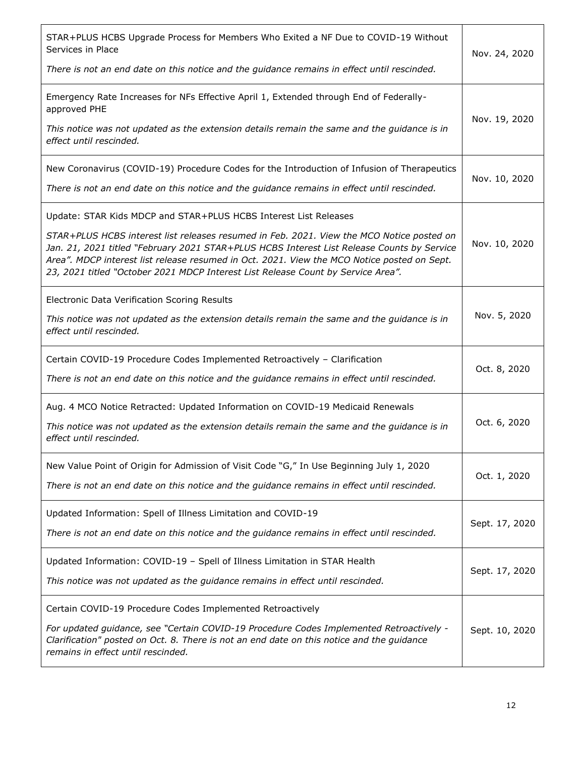| STAR+PLUS HCBS Upgrade Process for Members Who Exited a NF Due to COVID-19 Without<br>Services in Place<br>There is not an end date on this notice and the guidance remains in effect until rescinded.                                                                                                                                                                                                                                         | Nov. 24, 2020  |
|------------------------------------------------------------------------------------------------------------------------------------------------------------------------------------------------------------------------------------------------------------------------------------------------------------------------------------------------------------------------------------------------------------------------------------------------|----------------|
| Emergency Rate Increases for NFs Effective April 1, Extended through End of Federally-<br>approved PHE<br>This notice was not updated as the extension details remain the same and the guidance is in<br>effect until rescinded.                                                                                                                                                                                                               | Nov. 19, 2020  |
| New Coronavirus (COVID-19) Procedure Codes for the Introduction of Infusion of Therapeutics<br>There is not an end date on this notice and the guidance remains in effect until rescinded.                                                                                                                                                                                                                                                     | Nov. 10, 2020  |
| Update: STAR Kids MDCP and STAR+PLUS HCBS Interest List Releases<br>STAR+PLUS HCBS interest list releases resumed in Feb. 2021. View the MCO Notice posted on<br>Jan. 21, 2021 titled "February 2021 STAR+PLUS HCBS Interest List Release Counts by Service<br>Area". MDCP interest list release resumed in Oct. 2021. View the MCO Notice posted on Sept.<br>23, 2021 titled "October 2021 MDCP Interest List Release Count by Service Area". | Nov. 10, 2020  |
| Electronic Data Verification Scoring Results<br>This notice was not updated as the extension details remain the same and the guidance is in<br>effect until rescinded.                                                                                                                                                                                                                                                                         | Nov. 5, 2020   |
| Certain COVID-19 Procedure Codes Implemented Retroactively - Clarification<br>There is not an end date on this notice and the guidance remains in effect until rescinded.                                                                                                                                                                                                                                                                      | Oct. 8, 2020   |
| Aug. 4 MCO Notice Retracted: Updated Information on COVID-19 Medicaid Renewals<br>This notice was not updated as the extension details remain the same and the guidance is in<br>effect until rescinded.                                                                                                                                                                                                                                       | Oct. 6, 2020   |
| New Value Point of Origin for Admission of Visit Code "G," In Use Beginning July 1, 2020<br>There is not an end date on this notice and the guidance remains in effect until rescinded.                                                                                                                                                                                                                                                        | Oct. 1, 2020   |
| Updated Information: Spell of Illness Limitation and COVID-19<br>There is not an end date on this notice and the guidance remains in effect until rescinded.                                                                                                                                                                                                                                                                                   | Sept. 17, 2020 |
| Updated Information: COVID-19 - Spell of Illness Limitation in STAR Health<br>This notice was not updated as the guidance remains in effect until rescinded.                                                                                                                                                                                                                                                                                   | Sept. 17, 2020 |
| Certain COVID-19 Procedure Codes Implemented Retroactively<br>For updated guidance, see "Certain COVID-19 Procedure Codes Implemented Retroactively -<br>Clarification" posted on Oct. 8. There is not an end date on this notice and the guidance<br>remains in effect until rescinded.                                                                                                                                                       | Sept. 10, 2020 |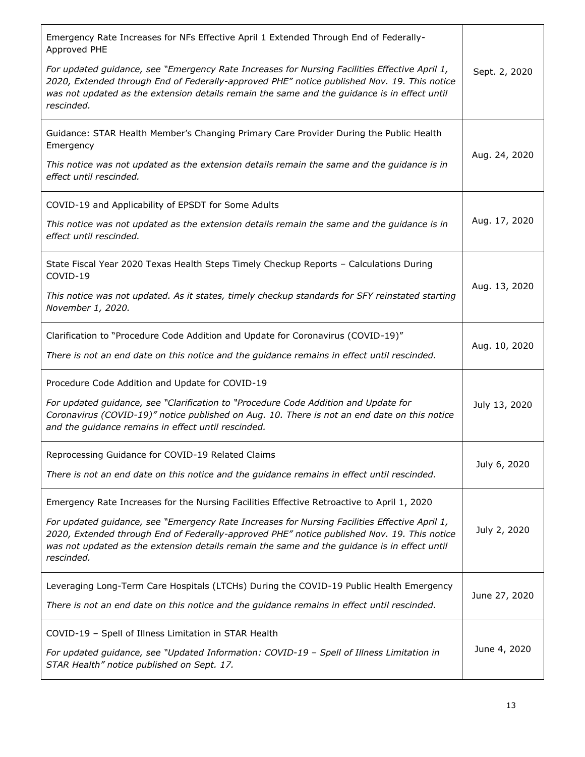| Emergency Rate Increases for NFs Effective April 1 Extended Through End of Federally-<br>Approved PHE                                                                                                                                                                                                      |               |
|------------------------------------------------------------------------------------------------------------------------------------------------------------------------------------------------------------------------------------------------------------------------------------------------------------|---------------|
| For updated guidance, see "Emergency Rate Increases for Nursing Facilities Effective April 1,<br>2020, Extended through End of Federally-approved PHE" notice published Nov. 19. This notice<br>was not updated as the extension details remain the same and the guidance is in effect until<br>rescinded. | Sept. 2, 2020 |
| Guidance: STAR Health Member's Changing Primary Care Provider During the Public Health<br>Emergency                                                                                                                                                                                                        |               |
| This notice was not updated as the extension details remain the same and the guidance is in<br>effect until rescinded.                                                                                                                                                                                     | Aug. 24, 2020 |
| COVID-19 and Applicability of EPSDT for Some Adults                                                                                                                                                                                                                                                        |               |
| This notice was not updated as the extension details remain the same and the guidance is in<br>effect until rescinded.                                                                                                                                                                                     | Aug. 17, 2020 |
| State Fiscal Year 2020 Texas Health Steps Timely Checkup Reports - Calculations During<br>COVID-19                                                                                                                                                                                                         |               |
| This notice was not updated. As it states, timely checkup standards for SFY reinstated starting<br>November 1, 2020.                                                                                                                                                                                       | Aug. 13, 2020 |
| Clarification to "Procedure Code Addition and Update for Coronavirus (COVID-19)"                                                                                                                                                                                                                           |               |
| There is not an end date on this notice and the guidance remains in effect until rescinded.                                                                                                                                                                                                                | Aug. 10, 2020 |
| Procedure Code Addition and Update for COVID-19                                                                                                                                                                                                                                                            |               |
| For updated guidance, see "Clarification to "Procedure Code Addition and Update for<br>Coronavirus (COVID-19)" notice published on Aug. 10. There is not an end date on this notice<br>and the guidance remains in effect until rescinded.                                                                 | July 13, 2020 |
| Reprocessing Guidance for COVID-19 Related Claims                                                                                                                                                                                                                                                          |               |
| There is not an end date on this notice and the guidance remains in effect until rescinded.                                                                                                                                                                                                                | July 6, 2020  |
| Emergency Rate Increases for the Nursing Facilities Effective Retroactive to April 1, 2020                                                                                                                                                                                                                 |               |
| For updated guidance, see "Emergency Rate Increases for Nursing Facilities Effective April 1,<br>2020, Extended through End of Federally-approved PHE" notice published Nov. 19. This notice<br>was not updated as the extension details remain the same and the guidance is in effect until<br>rescinded. | July 2, 2020  |
| Leveraging Long-Term Care Hospitals (LTCHs) During the COVID-19 Public Health Emergency                                                                                                                                                                                                                    |               |
| There is not an end date on this notice and the guidance remains in effect until rescinded.                                                                                                                                                                                                                | June 27, 2020 |
| COVID-19 - Spell of Illness Limitation in STAR Health                                                                                                                                                                                                                                                      |               |
| For updated guidance, see "Updated Information: COVID-19 - Spell of Illness Limitation in<br>STAR Health" notice published on Sept. 17.                                                                                                                                                                    | June 4, 2020  |